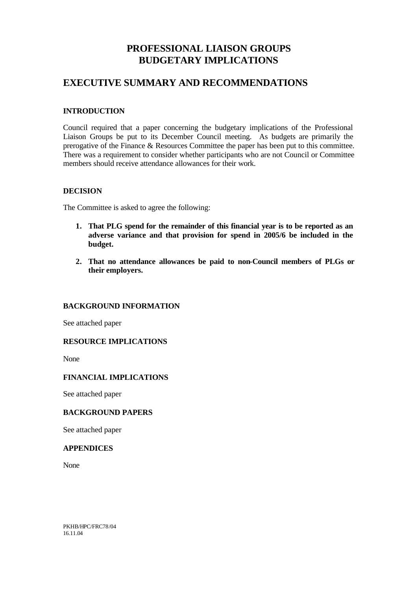# **PROFESSIONAL LIAISON GROUPS BUDGETARY IMPLICATIONS**

# **EXECUTIVE SUMMARY AND RECOMMENDATIONS**

## **INTRODUCTION**

Council required that a paper concerning the budgetary implications of the Professional Liaison Groups be put to its December Council meeting. As budgets are primarily the prerogative of the Finance & Resources Committee the paper has been put to this committee. There was a requirement to consider whether participants who are not Council or Committee members should receive attendance allowances for their work.

## **DECISION**

The Committee is asked to agree the following:

- **1. That PLG spend for the remainder of this financial year is to be reported as an adverse variance and that provision for spend in 2005/6 be included in the budget.**
- **2. That no attendance allowances be paid to non-Council members of PLGs or their employers.**

#### **BACKGROUND INFORMATION**

See attached paper

## **RESOURCE IMPLICATIONS**

None

## **FINANCIAL IMPLICATIONS**

See attached paper

# **BACKGROUND PAPERS**

See attached paper

#### **APPENDICES**

None

PKHB/HPC/FRC78/04 16.11.04